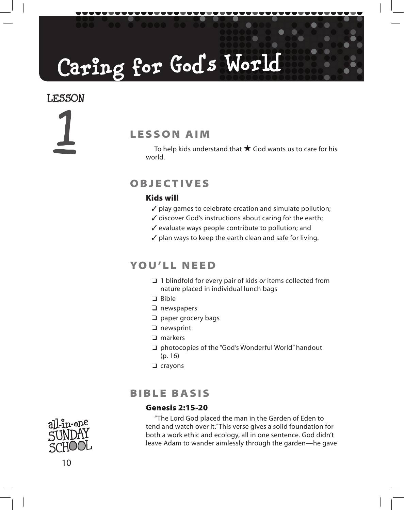# Caring for God's World

# LESSON

# ESSON

# lesson aim

To help kids understand that  $\bigstar$  God wants us to care for his world.

# **OBJECTIVES**

#### Kids will

- $\checkmark$  play games to celebrate creation and simulate pollution;
- ✓ discover God's instructions about caring for the earth;
- $\checkmark$  evaluate ways people contribute to pollution; and
- $\checkmark$  plan ways to keep the earth clean and safe for living.

# You'll Need

- ❏ 1 blindfold for every pair of kids *or* items collected from nature placed in individual lunch bags
- ❏ Bible
- ❏ newspapers
- ❏ paper grocery bags
- ❏ newsprint
- ❏ markers
- ❏ photocopies of the "God's Wonderful World" handout (p. 16)
- ❏ crayons

# Bible Basis

#### Genesis 2:15-20

"The Lord God placed the man in the Garden of Eden to tend and watch over it." This verse gives a solid foundation for both a work ethic and ecology, all in one sentence. God didn't leave Adam to wander aimlessly through the garden—he gave

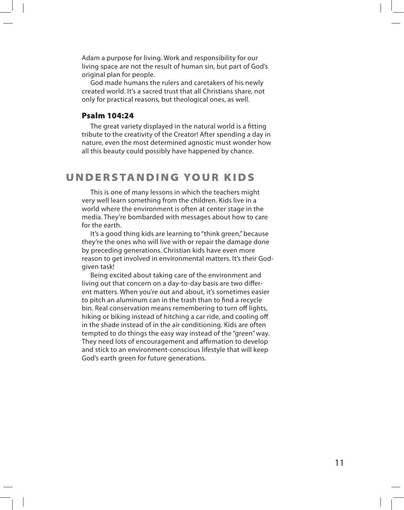Adam a purpose for living. Work and responsibility for our living space are not the result of human sin, but part of God's original plan for people.

God made humans the rulers and caretakers of his newly created world. It's a sacred trust that all Christians share, not only for practical reasons, but theological ones, as well.

#### Psalm 104:24

The great variety displayed in the natural world is a fitting tribute to the creativity of the Creator! After spending a day in nature, even the most determined agnostic must wonder how all this beauty could possibly have happened by chance.

# Understanding Your Kids

This is one of many lessons in which the teachers might very well learn something from the children. Kids live in a world where the environment is often at center stage in the media. They're bombarded with messages about how to care for the earth.

It's a good thing kids are learning to "think green," because they're the ones who will live with or repair the damage done by preceding generations. Christian kids have even more reason to get involved in environmental matters. It's their Godgiven task!

Being excited about taking care of the environment and living out that concern on a day-to-day basis are two different matters. When you're out and about, it's sometimes easier to pitch an aluminum can in the trash than to find a recycle bin. Real conservation means remembering to turn off lights, hiking or biking instead of hitching a car ride, and cooling off in the shade instead of in the air conditioning. Kids are often tempted to do things the easy way instead of the "green" way. They need lots of encouragement and affirmation to develop and stick to an environment-conscious lifestyle that will keep God's earth green for future generations.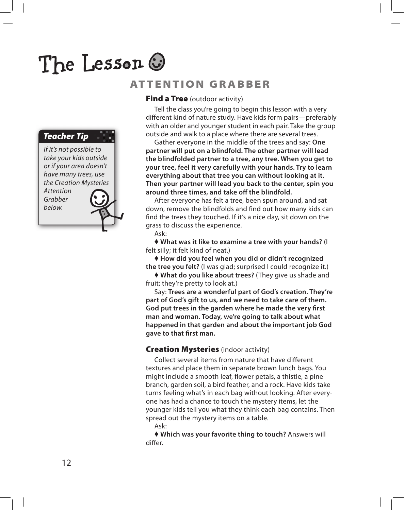# The Lesson  $\odot$



# aT TenTion Gr abber

#### **Find a Tree** (outdoor activity)

Tell the class you're going to begin this lesson with a very different kind of nature study. Have kids form pairs—preferably with an older and younger student in each pair. Take the group outside and walk to a place where there are several trees.

Gather everyone in the middle of the trees and say: **One partner will put on a blindfold. The other partner will lead the blindfolded partner to a tree, any tree. When you get to your tree, feel it very carefully with your hands. Try to learn everything about that tree you can without looking at it. Then your partner will lead you back to the center, spin you around three times, and take off the blindfold.**

After everyone has felt a tree, been spun around, and sat down, remove the blindfolds and find out how many kids can find the trees they touched. If it's a nice day, sit down on the grass to discuss the experience.

Ask:

♦ **What was it like to examine a tree with your hands?** (I felt silly; it felt kind of neat.)

♦ **How did you feel when you did or didn't recognized the tree you felt?** (I was glad; surprised I could recognize it.)

♦ **What do you like about trees?** (They give us shade and fruit; they're pretty to look at.)

Say: **Trees are a wonderful part of God's creation. They're part of God's gift to us, and we need to take care of them.**  God put trees in the garden where he made the very first **man and woman. Today, we're going to talk about what happened in that garden and about the important job God**  gave to that first man.

#### **Creation Mysteries** (indoor activity)

Collect several items from nature that have different textures and place them in separate brown lunch bags. You might include a smooth leaf, flower petals, a thistle, a pine branch, garden soil, a bird feather, and a rock. Have kids take turns feeling what's in each bag without looking. After everyone has had a chance to touch the mystery items, let the younger kids tell you what they think each bag contains. Then spread out the mystery items on a table.

Ask:

♦ **Which was your favorite thing to touch?** Answers will differ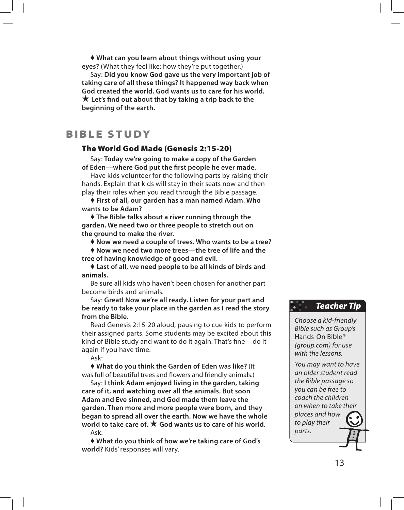♦ **What can you learn about things without using your eyes?** (What they feel like; how they're put together.)

Say: **Did you know God gave us the very important job of taking care of all these things? It happened way back when God created the world. God wants us to care for his world.**  ★ **Let's find out about that by taking a trip back to the beginning of the earth.**

### **BIBLE STUDY**

#### The World God Made (Genesis 2:15-20)

Say: **Today we're going to make a copy of the Garden of Eden—where God put the first people he ever made.**

Have kids volunteer for the following parts by raising their hands. Explain that kids will stay in their seats now and then play their roles when you read through the Bible passage.

♦ **First of all, our garden has a man named Adam. Who wants to be Adam?**

♦ **The Bible talks about a river running through the garden. We need two or three people to stretch out on the ground to make the river.**

♦ **Now we need a couple of trees. Who wants to be a tree?**

♦ **Now we need two more trees—the tree of life and the tree of having knowledge of good and evil.**

♦ **Last of all, we need people to be all kinds of birds and animals.**

Be sure all kids who haven't been chosen for another part become birds and animals.

Say: **Great! Now we're all ready. Listen for your part and be ready to take your place in the garden as I read the story from the Bible.**

Read Genesis 2:15-20 aloud, pausing to cue kids to perform their assigned parts. Some students may be excited about this kind of Bible study and want to do it again. That's fine—do it again if you have time.

Ask:

♦ **What do you think the Garden of Eden was like?** (It was full of beautiful trees and flowers and friendly animals.)

Say: **I think Adam enjoyed living in the garden, taking care of it, and watching over all the animals. But soon Adam and Eve sinned, and God made them leave the garden. Then more and more people were born, and they began to spread all over the earth. Now we have the whole world to take care of.** ★ **God wants us to care of his world.** Ask:

♦ **What do you think of how we're taking care of God's world?** Kids' responses will vary.

#### *Teacher Tip*

*Choose a kid-friendly Bible such as Group's*  Hands-On Bible*® (group.com) for use with the lessons.*

*You may want to have an older student read the Bible passage so you can be free to coach the children on when to take their places and how to play their parts.*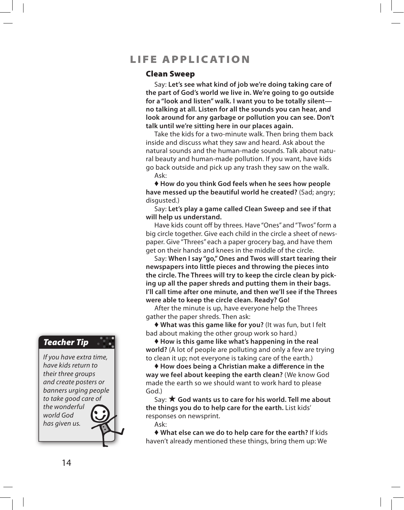# life applic aTion

#### Clean Sweep

Say: **Let's see what kind of job we're doing taking care of the part of God's world we live in. We're going to go outside for a "look and listen" walk. I want you to be totally silent no talking at all. Listen for all the sounds you can hear, and look around for any garbage or pollution you can see. Don't talk until we're sitting here in our places again.**

Take the kids for a two-minute walk. Then bring them back inside and discuss what they saw and heard. Ask about the natural sounds and the human-made sounds. Talk about natural beauty and human-made pollution. If you want, have kids go back outside and pick up any trash they saw on the walk. Ask:

♦ **How do you think God feels when he sees how people have messed up the beautiful world he created?** (Sad; angry; disgusted.)

Say: **Let's play a game called Clean Sweep and see if that will help us understand.**

Have kids count off by threes. Have "Ones" and "Twos" form a big circle together. Give each child in the circle a sheet of newspaper. Give "Threes" each a paper grocery bag, and have them get on their hands and knees in the middle of the circle.

Say: When I say "go," Ones and Twos will start tearing their **newspapers into little pieces and throwing the pieces into the circle. The Threes will try to keep the circle clean by picking up all the paper shreds and putting them in their bags. I'll call time after one minute, and then we'll see if the Threes were able to keep the circle clean. Ready? Go!**

After the minute is up, have everyone help the Threes gather the paper shreds. Then ask:

♦ **What was this game like for you?** (It was fun, but I felt bad about making the other group work so hard.)

♦ **How is this game like what's happening in the real world?** (A lot of people are polluting and only a few are trying to clean it up; not everyone is taking care of the earth.)

 $\blacklozenge$  How does being a Christian make a difference in the **way we feel about keeping the earth clean?** (We know God made the earth so we should want to work hard to please God.)

Say: ★ **God wants us to care for his world. Tell me about the things you do to help care for the earth.** List kids' responses on newsprint.

Ask:

♦ **What else can we do to help care for the earth?** If kids haven't already mentioned these things, bring them up: We

#### *Teacher Tip*

*If you have extra time, have kids return to their three groups and create posters or banners urging people to take good care of the wonderful world God has given us.*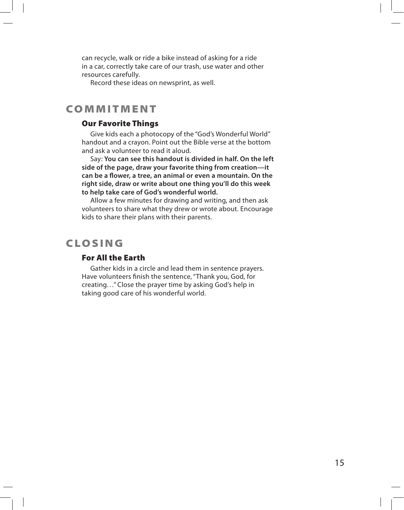can recycle, walk or ride a bike instead of asking for a ride in a car, correctly take care of our trash, use water and other resources carefully.

Record these ideas on newsprint, as well.

# **COMMITMENT**

#### Our Favorite Things

Give kids each a photocopy of the "God's Wonderful World" handout and a crayon. Point out the Bible verse at the bottom and ask a volunteer to read it aloud.

Say: **You can see this handout is divided in half. On the left side of the page, draw your favorite thing from creation—it can be a flower, a tree, an animal or even a mountain. On the right side, draw or write about one thing you'll do this week to help take care of God's wonderful world.**

Allow a few minutes for drawing and writing, and then ask volunteers to share what they drew or wrote about. Encourage kids to share their plans with their parents.

# **CLOSING**

#### For All the Earth

Gather kids in a circle and lead them in sentence prayers. Have volunteers finish the sentence, "Thank you, God, for creating. . ." Close the prayer time by asking God's help in taking good care of his wonderful world.